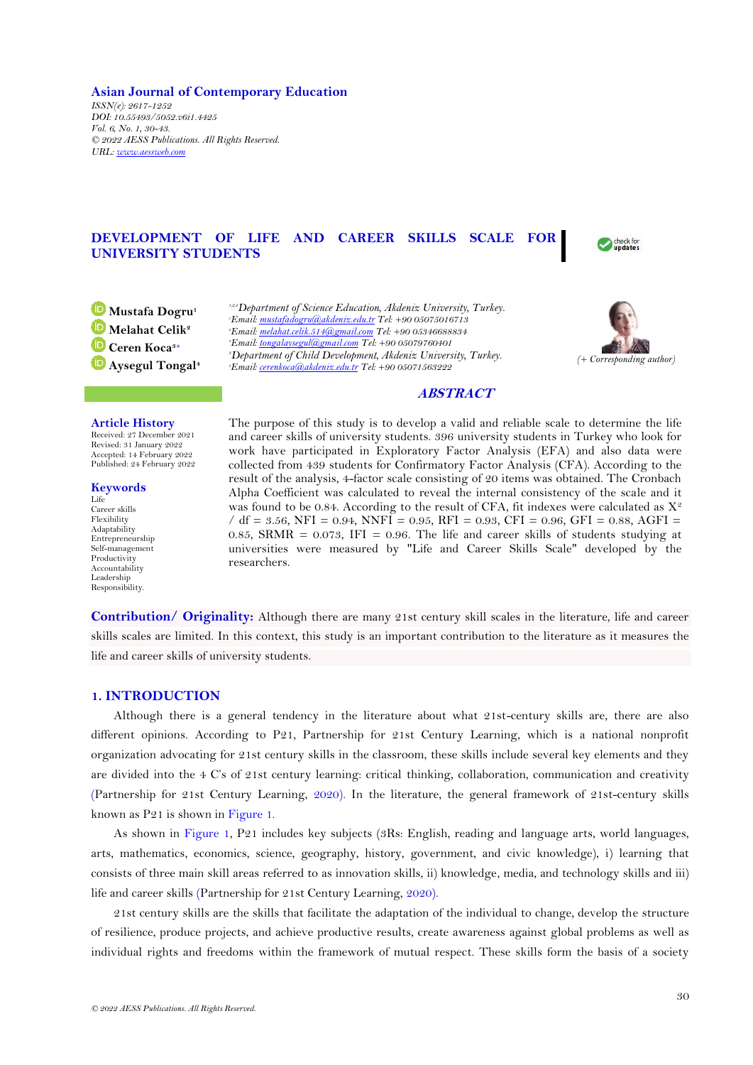**Asian Journal of Contemporary Education** *ISSN(e): 2617-1252 DOI: 10.55493/5052.v6i1.4425 Vol. 6, No. 1, 30-43. © 2022 AESS Publications. All Rights Reserved. URL: [www.aessweb.com](http://www.aessweb.com/)*

# **DEVELOPMENT OF LIFE AND CAREER SKILLS SCALE FOR UNIVERSITY STUDENTS**



**Mustafa Dogru<sup>1</sup> Melahat Celik<sup>2</sup> Ceren Koca3+ Aysegul Tongal<sup>4</sup>** *1,2,4Department of Science Education, Akdeniz University, Turkey. Email[: mustafadogru@akdeniz.edu.tr](mailto:mustafadogru@akdeniz.edu.tr) Tel: +90 05075016713 Email[: melahat.celik.514@gmail.com](mailto:melahat.celik.514@gmail.com) Tel: +90 05346688834 Email[: tongalaysegul@gmail.com](mailto:tongalaysegul@gmail.com) Tel: +90 05079760401 Department of Child Development, Akdeniz University, Turkey. Email[: cerenkoca@akdeniz.edu.tr](mailto:cerenkoca@akdeniz.edu.tr) Tel: +90 05071563222* 



# **ABSTRACT**

#### **Article History**

Received: 27 December 2021 Revised: 31 January 2022 Accepted: 14 February 2022 Published: 24 February 2022

**Keywords** Life Career skills Flexibility Adaptability Entrepreneurship Self-management Productivity Accountability Leadership Responsibility.

The purpose of this study is to develop a valid and reliable scale to determine the life and career skills of university students. 396 university students in Turkey who look for work have participated in Exploratory Factor Analysis (EFA) and also data were collected from 439 students for Confirmatory Factor Analysis (CFA). According to the result of the analysis, 4-factor scale consisting of 20 items was obtained. The Cronbach Alpha Coefficient was calculated to reveal the internal consistency of the scale and it was found to be 0.84. According to the result of CFA, fit indexes were calculated as  $X^2$  $/$  df = 3.56, NFI = 0.94, NNFI = 0.95, RFI = 0.93, CFI = 0.96, GFI = 0.88, AGFI = 0.85, SRMR = 0.073, IFI = 0.96. The life and career skills of students studying at universities were measured by "Life and Career Skills Scale" developed by the researchers.

**Contribution/ Originality:** Although there are many 21st century skill scales in the literature, life and career skills scales are limited. In this context, this study is an important contribution to the literature as it measures the life and career skills of university students.

## **1. INTRODUCTION**

Although there is a general tendency in the literature about what 21st-century skills are, there are also different opinions. According to P21, Partnership for 21st Century Learning, which is a national nonprofit organization advocating for 21st century skills in the classroom, these skills include several key elements and they are divided into the 4 C's of 21st century learning: critical thinking, collaboration, communication and creativity [\(Partnership for 21st Century Learning,](#page-13-0) 2020). In the literature, the general framework of 21st-century skills known as P21 is shown in Figure 1.

As shown in Figure 1, P21 includes key subjects (3Rs: English, reading and language arts, world languages, arts, mathematics, economics, science, geography, history, government, and civic knowledge), i) learning that consists of three main skill areas referred to as innovation skills, ii) knowledge, media, and technology skills and iii) life and career skills [\(Partnership for 21st Century Learning,](#page-13-0) 2020).

21st century skills are the skills that facilitate the adaptation of the individual to change, develop the structure of resilience, produce projects, and achieve productive results, create awareness against global problems as well as individual rights and freedoms within the framework of mutual respect. These skills form the basis of a society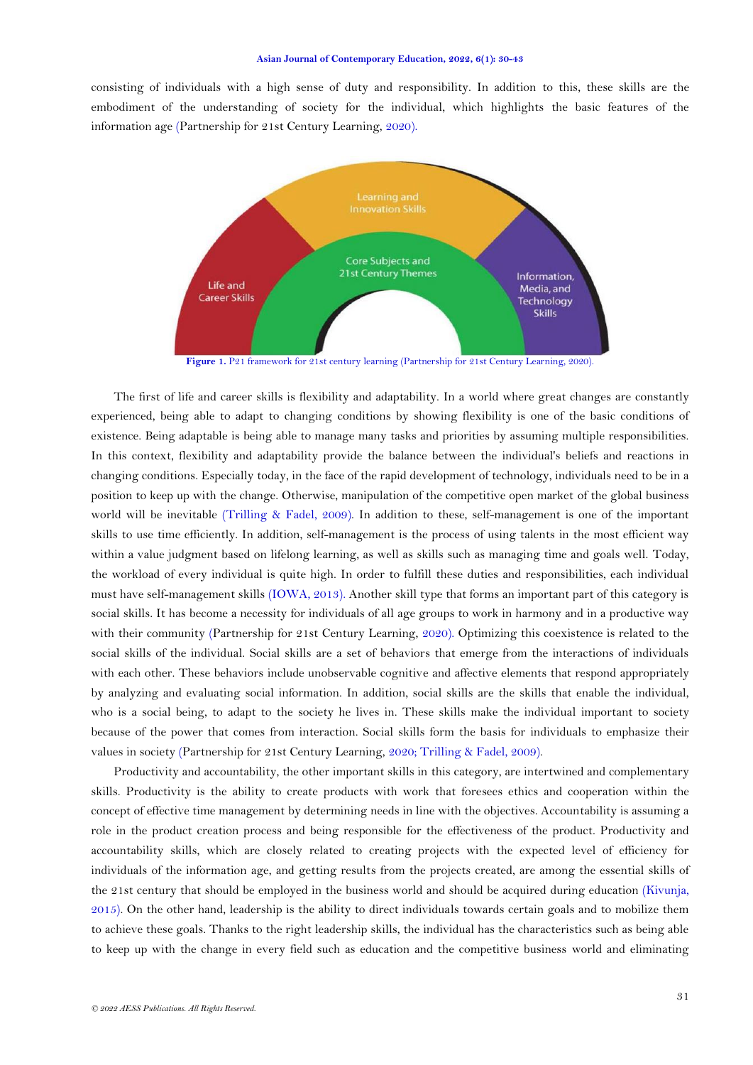consisting of individuals with a high sense of duty and responsibility. In addition to this, these skills are the embodiment of the understanding of society for the individual, which highlights the basic features of the information age [\(Partnership for 21st Century Learning,](#page-13-0) 2020).



Figure 1. P21 framework for 21st century learning [\(Partnership for 21st Century Learning,](#page-13-0) 2020).

The first of life and career skills is flexibility and adaptability. In a world where great changes are constantly experienced, being able to adapt to changing conditions by showing flexibility is one of the basic conditions of existence. Being adaptable is being able to manage many tasks and priorities by assuming multiple responsibilities. In this context, flexibility and adaptability provide the balance between the individual's beliefs and reactions in changing conditions. Especially today, in the face of the rapid development of technology, individuals need to be in a position to keep up with the change. Otherwise, manipulation of the competitive open market of the global business world will be inevitable [\(Trilling & Fadel, 2009\)](#page-13-1). In addition to these, self-management is one of the important skills to use time efficiently. In addition, self-management is the process of using talents in the most efficient way within a value judgment based on lifelong learning, as well as skills such as managing time and goals well. Today, the workload of every individual is quite high. In order to fulfill these duties and responsibilities, each individual must have self-management skills [\(IOWA, 2013\)](#page-12-0). Another skill type that forms an important part of this category is social skills. It has become a necessity for individuals of all age groups to work in harmony and in a productive way with their community [\(Partnership for 21st Century Learning,](#page-13-0) 2020). Optimizing this coexistence is related to the social skills of the individual. Social skills are a set of behaviors that emerge from the interactions of individuals with each other. These behaviors include unobservable cognitive and affective elements that respond appropriately by analyzing and evaluating social information. In addition, social skills are the skills that enable the individual, who is a social being, to adapt to the society he lives in. These skills make the individual important to society because of the power that comes from interaction. Social skills form the basis for individuals to emphasize their values in society [\(Partnership for 21st Century Learning,](#page-13-0) 2020; [Trilling & Fadel, 2009\)](#page-13-1).

Productivity and accountability, the other important skills in this category, are intertwined and complementary skills. Productivity is the ability to create products with work that foresees ethics and cooperation within the concept of effective time management by determining needs in line with the objectives. Accountability is assuming a role in the product creation process and being responsible for the effectiveness of the product. Productivity and accountability skills, which are closely related to creating projects with the expected level of efficiency for individuals of the information age, and getting results from the projects created, are among the essential skills of the 21st century that should be employed in the business world and should be acquired during education [\(Kivunja,](#page-12-1)  [2015\)](#page-12-1). On the other hand, leadership is the ability to direct individuals towards certain goals and to mobilize them to achieve these goals. Thanks to the right leadership skills, the individual has the characteristics such as being able to keep up with the change in every field such as education and the competitive business world and eliminating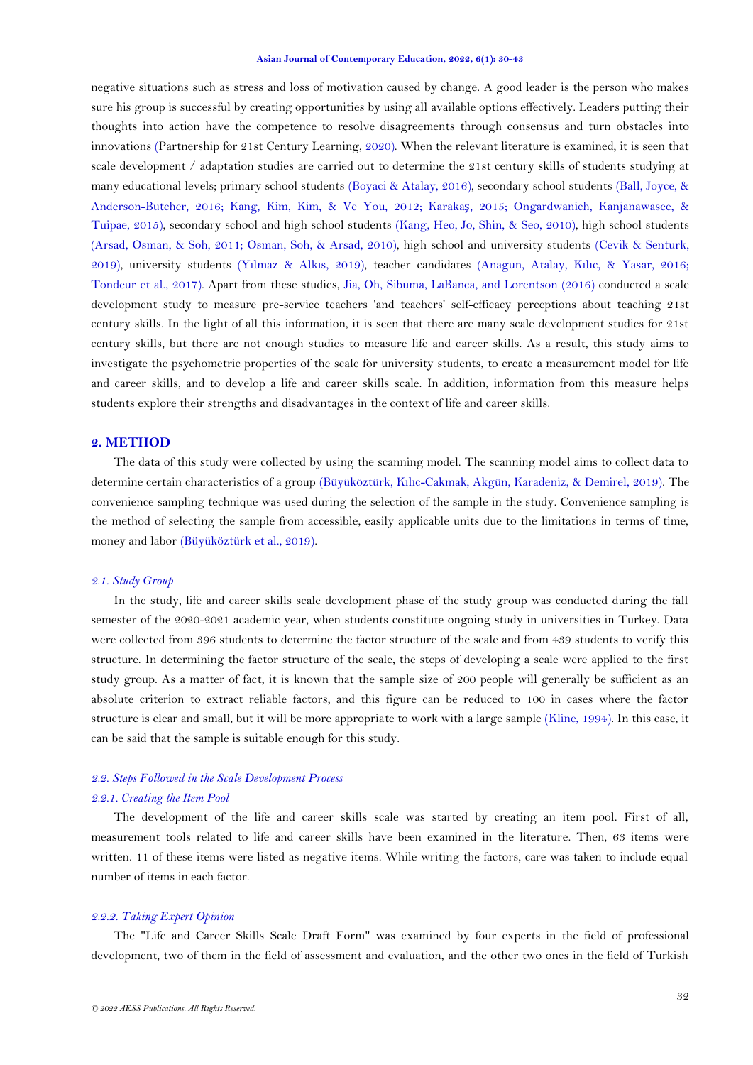negative situations such as stress and loss of motivation caused by change. A good leader is the person who makes sure his group is successful by creating opportunities by using all available options effectively. Leaders putting their thoughts into action have the competence to resolve disagreements through consensus and turn obstacles into innovations [\(Partnership for 21st Century Learning,](#page-13-0) 2020). When the relevant literature is examined, it is seen that scale development / adaptation studies are carried out to determine the 21st century skills of students studying at many educational levels; primary school students [\(Boyaci & Atalay, 2016\)](#page-12-2), secondary school students [\(Ball, Joyce, &](#page-12-3)  [Anderson-Butcher, 2016;](#page-12-3) [Kang, Kim, Kim, & Ve You,](#page-12-4) 2012; [Karaka](#page-12-5)ş, 2015; [Ongardwanich, Kanjanawasee, &](#page-12-6)  [Tuipae, 2015\)](#page-12-6), secondary school and high school students [\(Kang, Heo, Jo, Shin, & Seo, 2010\)](#page-12-7), high school students [\(Arsad, Osman, & Soh, 2011;](#page-11-0) [Osman, Soh, & Arsad, 2010\)](#page-12-8), high school and university students [\(Cevik & Senturk,](#page-12-9)  [2019\)](#page-12-9), university students (Yı[lmaz & Alk](#page-13-2)ıs, 2019), teacher candidates [\(Anagun, Atalay, K](#page-11-1)ılıc, & Yasar, 2016; Tondeur [et al., 2017\)](#page-13-3). Apart from these studies, [Jia, Oh, Sibuma, LaBanca, and Lorentson \(2016\)](#page-12-10) conducted a scale development study to measure pre-service teachers 'and teachers' self-efficacy perceptions about teaching 21st century skills. In the light of all this information, it is seen that there are many scale development studies for 21st century skills, but there are not enough studies to measure life and career skills. As a result, this study aims to investigate the psychometric properties of the scale for university students, to create a measurement model for life and career skills, and to develop a life and career skills scale. In addition, information from this measure helps students explore their strengths and disadvantages in the context of life and career skills.

## **2. METHOD**

The data of this study were collected by using the scanning model. The scanning model aims to collect data to determine certain characteristics of a group (Büyüköztürk, Kılı[c-Cakmak, Akgün, Karadeniz, & Demirel, 2019\)](#page-12-11). The convenience sampling technique was used during the selection of the sample in the study. Convenience sampling is the method of selecting the sample from accessible, easily applicable units due to the limitations in terms of time, money and labor [\(Büyüköztürk et al., 2019\)](#page-12-11).

#### *2.1. Study Group*

In the study, life and career skills scale development phase of the study group was conducted during the fall semester of the 2020-2021 academic year, when students constitute ongoing study in universities in Turkey. Data were collected from 396 students to determine the factor structure of the scale and from 439 students to verify this structure. In determining the factor structure of the scale, the steps of developing a scale were applied to the first study group. As a matter of fact, it is known that the sample size of 200 people will generally be sufficient as an absolute criterion to extract reliable factors, and this figure can be reduced to 100 in cases where the factor structure is clear and small, but it will be more appropriate to work with a large sample [\(Kline, 1994\)](#page-12-12). In this case, it can be said that the sample is suitable enough for this study.

# *2.2. Steps Followed in the Scale Development Process*

## *2.2.1. Creating the Item Pool*

The development of the life and career skills scale was started by creating an item pool. First of all, measurement tools related to life and career skills have been examined in the literature. Then, 63 items were written. 11 of these items were listed as negative items. While writing the factors, care was taken to include equal number of items in each factor.

## *2.2.2. Taking Expert Opinion*

The "Life and Career Skills Scale Draft Form" was examined by four experts in the field of professional development, two of them in the field of assessment and evaluation, and the other two ones in the field of Turkish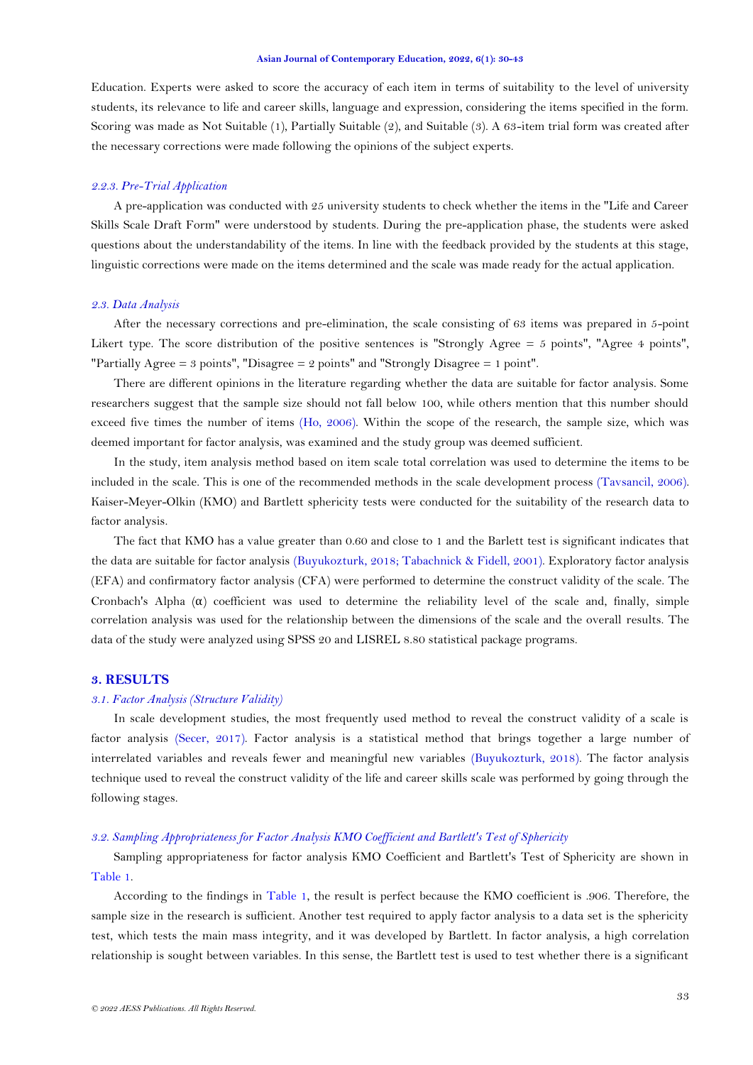Education. Experts were asked to score the accuracy of each item in terms of suitability to the level of university students, its relevance to life and career skills, language and expression, considering the items specified in the form. Scoring was made as Not Suitable (1), Partially Suitable (2), and Suitable (3). A 63-item trial form was created after the necessary corrections were made following the opinions of the subject experts.

### *2.2.3. Pre-Trial Application*

A pre-application was conducted with 25 university students to check whether the items in the "Life and Career Skills Scale Draft Form" were understood by students. During the pre-application phase, the students were asked questions about the understandability of the items. In line with the feedback provided by the students at this stage, linguistic corrections were made on the items determined and the scale was made ready for the actual application.

#### *2.3. Data Analysis*

After the necessary corrections and pre-elimination, the scale consisting of 63 items was prepared in 5-point Likert type. The score distribution of the positive sentences is "Strongly Agree  $= 5$  points", "Agree 4 points", "Partially Agree = 3 points", "Disagree = 2 points" and "Strongly Disagree = 1 point".

There are different opinions in the literature regarding whether the data are suitable for factor analysis. Some researchers suggest that the sample size should not fall below 100, while others mention that this number should exceed five times the number of items [\(Ho, 2006\)](#page-12-13). Within the scope of the research, the sample size, which was deemed important for factor analysis, was examined and the study group was deemed sufficient.

In the study, item analysis method based on item scale total correlation was used to determine the items to be included in the scale. This is one of the recommended methods in the scale development process [\(Tavsancil, 2006\)](#page-13-4). Kaiser-Meyer-Olkin (KMO) and Bartlett sphericity tests were conducted for the suitability of the research data to factor analysis.

The fact that KMO has a value greater than 0.60 and close to 1 and the Barlett test is significant indicates that the data are suitable for factor analysis [\(Buyukozturk, 2018;](#page-12-14) [Tabachnick & Fidell, 2001\)](#page-13-5). Exploratory factor analysis (EFA) and confirmatory factor analysis (CFA) were performed to determine the construct validity of the scale. The Cronbach's Alpha  $(\alpha)$  coefficient was used to determine the reliability level of the scale and, finally, simple correlation analysis was used for the relationship between the dimensions of the scale and the overall results. The data of the study were analyzed using SPSS 20 and LISREL 8.80 statistical package programs.

# **3. RESULTS**

## *3.1. Factor Analysis (Structure Validity)*

In scale development studies, the most frequently used method to reveal the construct validity of a scale is factor analysis [\(Secer, 2017\)](#page-13-6). Factor analysis is a statistical method that brings together a large number of interrelated variables and reveals fewer and meaningful new variables [\(Buyukozturk, 2018\)](#page-12-14). The factor analysis technique used to reveal the construct validity of the life and career skills scale was performed by going through the following stages.

#### *3.2. Sampling Appropriateness for Factor Analysis KMO Coefficient and Bartlett's Test of Sphericity*

Sampling appropriateness for factor analysis KMO Coefficient and Bartlett's Test of Sphericity are shown in [Table 1.](#page-4-0)

According to the findings in [Table 1,](#page-4-0) the result is perfect because the KMO coefficient is .906. Therefore, the sample size in the research is sufficient. Another test required to apply factor analysis to a data set is the sphericity test, which tests the main mass integrity, and it was developed by Bartlett. In factor analysis, a high correlation relationship is sought between variables. In this sense, the Bartlett test is used to test whether there is a significant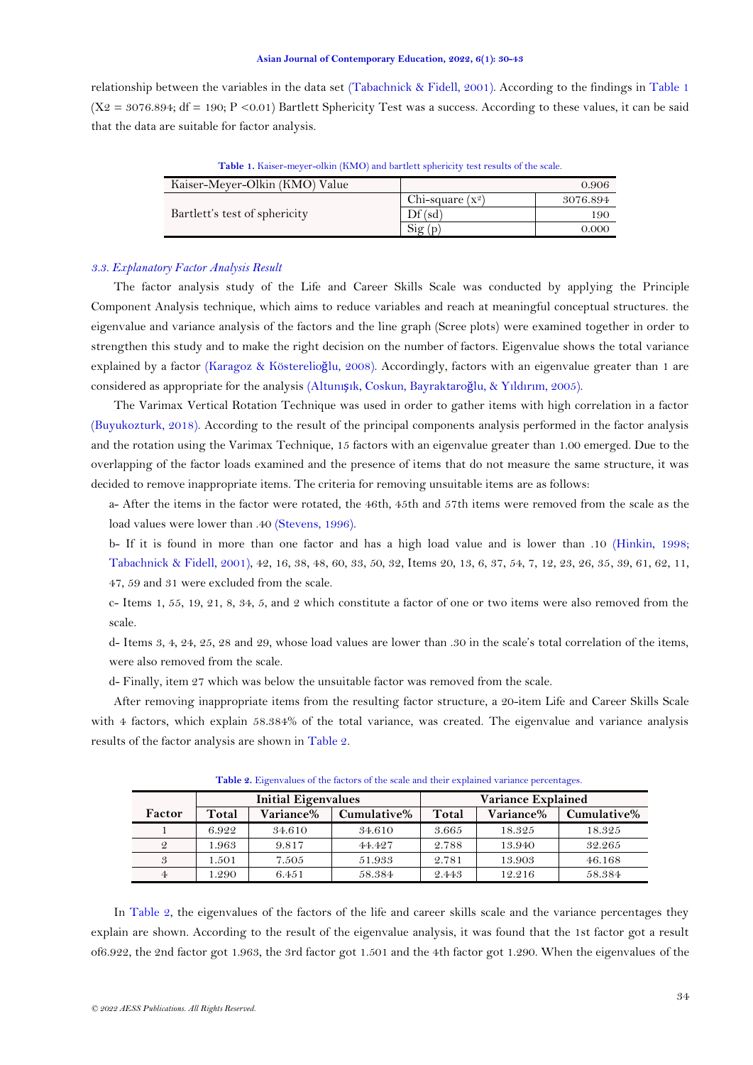<span id="page-4-0"></span>relationship between the variables in the data set [\(Tabachnick & Fidell, 2001\)](#page-13-5). According to the findings in [Table 1](#page-4-0)  $(X_2 = 3076.894$ ; df = 190; P <0.01) Bartlett Sphericity Test was a success. According to these values, it can be said that the data are suitable for factor analysis.

| Kaiser-Meyer-Olkin (KMO) Value |                              | 0.906    |
|--------------------------------|------------------------------|----------|
|                                | Chi-square $(x^2)$           | 3076.894 |
| Bartlett's test of sphericity  | Df(sd)                       | 190      |
|                                | $\mathrm{Sig}\,(\mathrm{p})$ | 0.000    |

**Table 1.** Kaiser-meyer-olkin (KMO) and bartlett sphericity test results of the scale.

### *3.3. Explanatory Factor Analysis Result*

The factor analysis study of the Life and Career Skills Scale was conducted by applying the Principle Component Analysis technique, which aims to reduce variables and reach at meaningful conceptual structures. the eigenvalue and variance analysis of the factors and the line graph (Scree plots) were examined together in order to strengthen this study and to make the right decision on the number of factors. Eigenvalue shows the total variance explained by a factor [\(Karagoz & Kösterelio](#page-12-15)ğlu, 2008). Accordingly, factors with an eigenvalue greater than 1 are considered as appropriate for the analysis (Altunışı[k, Coskun, Bayraktaro](#page-11-2)ğlu, & Yıldırım, 2005).

The Varimax Vertical Rotation Technique was used in order to gather items with high correlation in a factor [\(Buyukozturk, 2018\)](#page-12-14). According to the result of the principal components analysis performed in the factor analysis and the rotation using the Varimax Technique, 15 factors with an eigenvalue greater than 1.00 emerged. Due to the overlapping of the factor loads examined and the presence of items that do not measure the same structure, it was decided to remove inappropriate items. The criteria for removing unsuitable items are as follows:

a- After the items in the factor were rotated, the 46th, 45th and 57th items were removed from the scale as the load values were lower than .40 [\(Stevens, 1996\)](#page-13-7).

b- If it is found in more than one factor and has a high load value and is lower than .10 [\(Hinkin, 1998;](#page-12-16) [Tabachnick & Fidell, 2001\)](#page-13-5), 42, 16, 38, 48, 60, 33, 50, 32, Items 20, 13, 6, 37, 54, 7, 12, 23, 26, 35, 39, 61, 62, 11, 47, 59 and 31 were excluded from the scale.

c- Items 1, 55, 19, 21, 8, 34, 5, and 2 which constitute a factor of one or two items were also removed from the scale.

d- Items 3, 4, 24, 25, 28 and 29, whose load values are lower than .30 in the scale's total correlation of the items, were also removed from the scale.

d- Finally, item 27 which was below the unsuitable factor was removed from the scale.

After removing inappropriate items from the resulting factor structure, a 20-item Life and Career Skills Scale with 4 factors, which explain 58.384% of the total variance, was created. The eigenvalue and variance analysis results of the factor analysis are shown in Table 2.

<span id="page-4-1"></span>

|        |       | <b>Initial Eigenvalues</b> |             |       | <b>Variance Explained</b> |             |
|--------|-------|----------------------------|-------------|-------|---------------------------|-------------|
| Factor | Total | Variance%                  | Cumulative% | Total | Variance%                 | Cumulative% |
|        | 6.922 | 34.610                     | 34.610      | 3.665 | 18.325                    | 18.325      |
| 2      | 1.963 | 9.817                      | 44.427      | 2.788 | 13.940                    | 32.265      |
| 3      | 1.501 | 7.505                      | 51.933      | 2.781 | 13.903                    | 46.168      |
|        | .290  | 6.451                      | 58.384      | 2.443 | 12.216                    | 58.384      |

**Table 2.** Eigenvalues of the factors of the scale and their explained variance percentages.

In [Table 2,](#page-4-1) the eigenvalues of the factors of the life and career skills scale and the variance percentages they explain are shown. According to the result of the eigenvalue analysis, it was found that the 1st factor got a result of6.922, the 2nd factor got 1.963, the 3rd factor got 1.501 and the 4th factor got 1.290. When the eigenvalues of the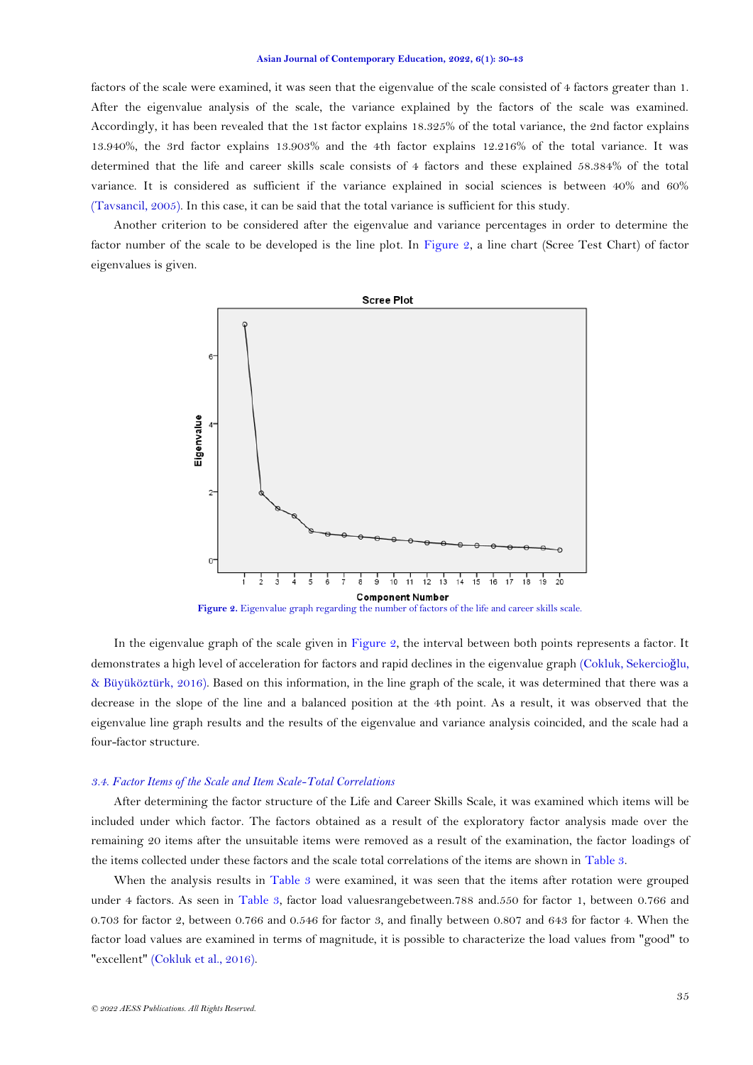factors of the scale were examined, it was seen that the eigenvalue of the scale consisted of 4 factors greater than 1. After the eigenvalue analysis of the scale, the variance explained by the factors of the scale was examined. Accordingly, it has been revealed that the 1st factor explains 18.325% of the total variance, the 2nd factor explains 13.940%, the 3rd factor explains 13.903% and the 4th factor explains 12.216% of the total variance. It was determined that the life and career skills scale consists of 4 factors and these explained 58.384% of the total variance. It is considered as sufficient if the variance explained in social sciences is between 40% and 60% [\(Tavsancil, 2005\)](#page-13-8). In this case, it can be said that the total variance is sufficient for this study.

Another criterion to be considered after the eigenvalue and variance percentages in order to determine the factor number of the scale to be developed is the line plot. In [Figure 2,](#page-5-0) a line chart (Scree Test Chart) of factor eigenvalues is given.



<span id="page-5-0"></span>In the eigenvalue graph of the scale given in [Figure 2,](#page-5-0) the interval between both points represents a factor. It demonstrates a high level of acceleration for factors and rapid declines in the eigenvalue graph [\(Cokluk, Sekercio](#page-12-17)ğlu, [& Büyüköztürk, 2016\)](#page-12-17). Based on this information, in the line graph of the scale, it was determined that there was a decrease in the slope of the line and a balanced position at the 4th point. As a result, it was observed that the eigenvalue line graph results and the results of the eigenvalue and variance analysis coincided, and the scale had a four-factor structure.

#### *3.4. Factor Items of the Scale and Item Scale-Total Correlations*

After determining the factor structure of the Life and Career Skills Scale, it was examined which items will be included under which factor. The factors obtained as a result of the exploratory factor analysis made over the remaining 20 items after the unsuitable items were removed as a result of the examination, the factor loadings of the items collected under these factors and the scale total correlations of the items are shown in [Table 3.](#page-6-0)

When the analysis results in [Table 3](#page-6-0) were examined, it was seen that the items after rotation were grouped under 4 factors. As seen in [Table 3,](#page-6-0) factor load valuesrangebetween.788 and.550 for factor 1, between 0.766 and 0.703 for factor 2, between 0.766 and 0.546 for factor 3, and finally between 0.807 and 643 for factor 4. When the factor load values are examined in terms of magnitude, it is possible to characterize the load values from "good" to "excellent" [\(Cokluk et al., 2016\)](#page-12-17).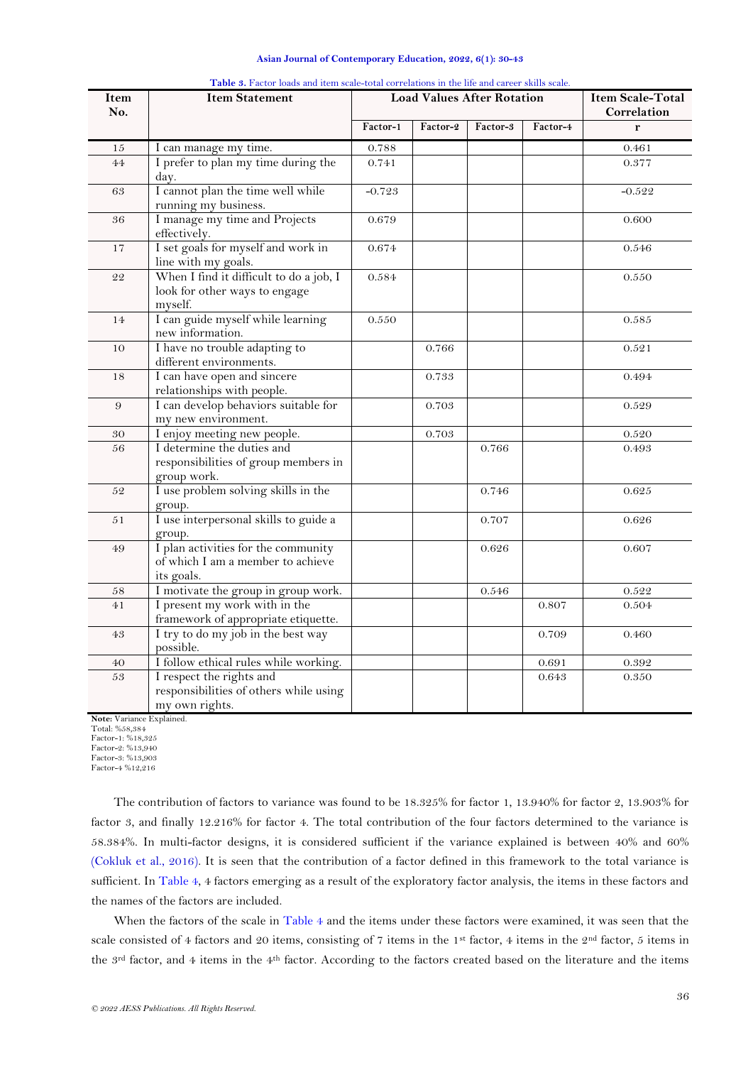| Asian Journal of Contemporary Education, 2022, 6(1): 30-43 |  |  |  |  |  |  |
|------------------------------------------------------------|--|--|--|--|--|--|
|------------------------------------------------------------|--|--|--|--|--|--|

<span id="page-6-0"></span>

| Item<br>No.   | <b>Item Statement</b>                                                                  |           | <b>Load Values After Rotation</b> | <b>Item Scale-Total</b><br>Correlation |          |           |
|---------------|----------------------------------------------------------------------------------------|-----------|-----------------------------------|----------------------------------------|----------|-----------|
|               |                                                                                        | Factor-1  | Factor-2                          | Factor-3                               | Factor-4 | r         |
| 15            | I can manage my time.                                                                  | $0.788\,$ |                                   |                                        |          | $0.461\,$ |
| 44            | I prefer to plan my time during the<br>day.                                            | 0.741     |                                   |                                        |          | 0.377     |
| 63            | I cannot plan the time well while<br>running my business.                              | $-0.723$  |                                   |                                        |          | $-0.522$  |
| 36            | I manage my time and Projects<br>effectively.                                          | 0.679     |                                   |                                        |          | 0.600     |
| 17            | I set goals for myself and work in<br>line with my goals.                              | 0.674     |                                   |                                        |          | $0.546\,$ |
| 22            | When I find it difficult to do a job, I<br>look for other ways to engage<br>myself.    | 0.584     |                                   |                                        |          | 0.550     |
| 14            | I can guide myself while learning<br>new information.                                  | $0.550\,$ |                                   |                                        |          | $0.585\,$ |
| 10            | I have no trouble adapting to<br>different environments.                               |           | 0.766                             |                                        |          | 0.521     |
| 18            | I can have open and sincere<br>relationships with people.                              |           | 0.733                             |                                        |          | 0.494     |
| 9             | I can develop behaviors suitable for<br>my new environment.                            |           | 0.703                             |                                        |          | 0.529     |
| 30            | I enjoy meeting new people.                                                            |           | $0.703\,$                         |                                        |          | $0.520\,$ |
| 56            | I determine the duties and<br>responsibilities of group members in<br>group work.      |           |                                   | 0.766                                  |          | 0.493     |
| $5\mathbf{2}$ | I use problem solving skills in the<br>group.                                          |           |                                   | 0.746                                  |          | $0.625\,$ |
| 51            | I use interpersonal skills to guide a<br>group.                                        |           |                                   | 0.707                                  |          | 0.626     |
| 49            | I plan activities for the community<br>of which I am a member to achieve<br>its goals. |           |                                   | 0.626                                  |          | 0.607     |
| 58            | I motivate the group in group work.                                                    |           |                                   | 0.546                                  |          | 0.522     |
| 41            | I present my work with in the<br>framework of appropriate etiquette.                   |           |                                   |                                        | 0.807    | 0.504     |
| 43            | I try to do my job in the best way<br>possible.                                        |           |                                   |                                        | 0.709    | 0.460     |
| 40            | I follow ethical rules while working.                                                  |           |                                   |                                        | 0.691    | $0.392\,$ |
| 53            | I respect the rights and<br>responsibilities of others while using<br>my own rights.   |           |                                   |                                        | 0.643    | 0.350     |

**Table 3.** Factor loads and item scale-total correlations in the life and career skills scale.

**Note:** Variance Explained. Total: %58,384

Factor-1: %18,325

Factor-2: %13,940 Factor-3: %13,903

Factor-4 %12,216

The contribution of factors to variance was found to be 18.325% for factor 1, 13.940% for factor 2, 13.903% for factor 3, and finally 12.216% for factor 4. The total contribution of the four factors determined to the variance is 58.384%. In multi-factor designs, it is considered sufficient if the variance explained is between 40% and 60% [\(Cokluk et al., 2016\)](#page-12-17). It is seen that the contribution of a factor defined in this framework to the total variance is sufficient. In [Table 4,](#page-7-0) 4 factors emerging as a result of the exploratory factor analysis, the items in these factors and the names of the factors are included.

When the factors of the scale in [Table 4](#page-7-0) and the items under these factors were examined, it was seen that the scale consisted of 4 factors and 20 items, consisting of 7 items in the 1st factor, 4 items in the 2nd factor, 5 items in the 3<sup>rd</sup> factor, and 4 items in the 4<sup>th</sup> factor. According to the factors created based on the literature and the items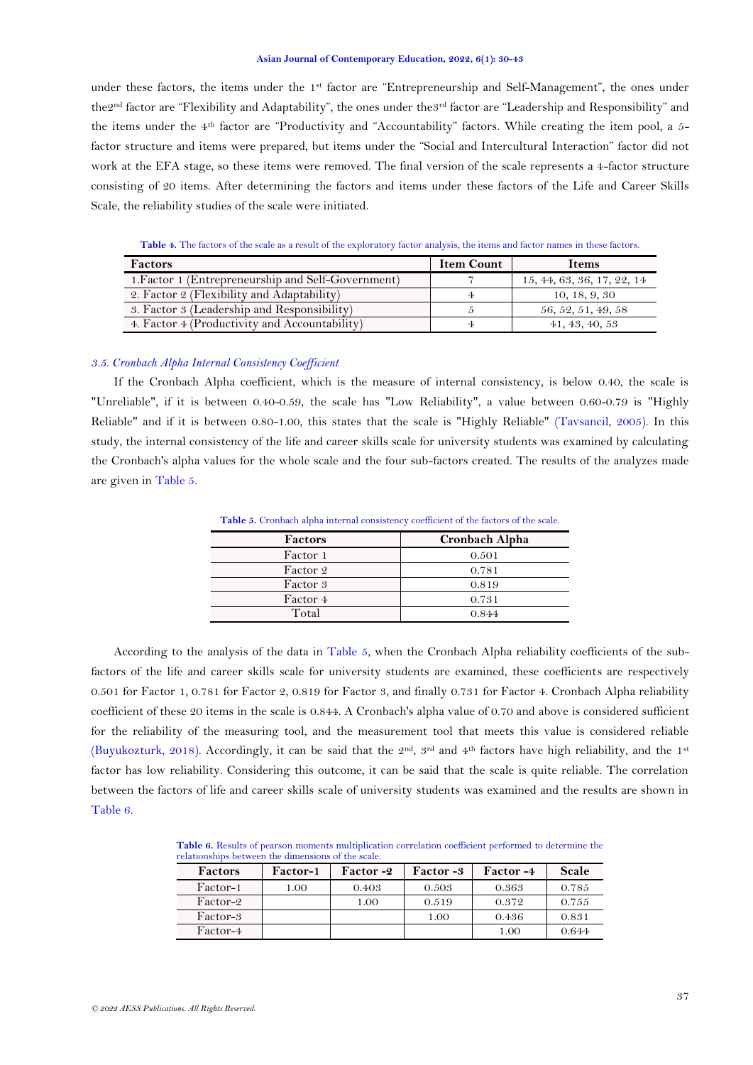under these factors, the items under the 1<sup>st</sup> factor are "Entrepreneurship and Self-Management", the ones under the2nd factor are "Flexibility and Adaptability", the ones under the3rd factor are "Leadership and Responsibility" and the items under the 4th factor are "Productivity and "Accountability" factors. While creating the item pool, a 5 factor structure and items were prepared, but items under the "Social and Intercultural Interaction" factor did not work at the EFA stage, so these items were removed. The final version of the scale represents a 4-factor structure consisting of 20 items. After determining the factors and items under these factors of the Life and Career Skills Scale, the reliability studies of the scale were initiated.

**Table 4.** The factors of the scale as a result of the exploratory factor analysis, the items and factor names in these factors.

<span id="page-7-0"></span>

| <b>Factors</b>                                     | <b>Item Count</b> | <b>Items</b>               |
|----------------------------------------------------|-------------------|----------------------------|
| 1. Factor 1 (Entrepreneurship and Self-Government) |                   | 15, 44, 63, 36, 17, 22, 14 |
| 2. Factor 2 (Flexibility and Adaptability)         |                   | 10, 18, 9, 30              |
| 3. Factor 3 (Leadership and Responsibility)        |                   | 56, 52, 51, 49, 58         |
| 4. Factor 4 (Productivity and Accountability)      |                   | 41, 43, 40, 53             |

# *3.5. Cronbach Alpha Internal Consistency Coefficient*

If the Cronbach Alpha coefficient, which is the measure of internal consistency, is below 0.40, the scale is "Unreliable", if it is between 0.40-0.59, the scale has "Low Reliability", a value between 0.60-0.79 is "Highly Reliable" and if it is between 0.80-1.00, this states that the scale is "Highly Reliable" [\(Tavsancil, 2005\)](#page-13-8). In this study, the internal consistency of the life and career skills scale for university students was examined by calculating the Cronbach's alpha values for the whole scale and the four sub-factors created. The results of the analyzes made are given i[n Table 5.](#page-7-1)

Table 5. Cronbach alpha internal consistency coefficient of the factors of the scale.

<span id="page-7-1"></span>

| Factors  | Cronbach Alpha |
|----------|----------------|
| Factor 1 | 0.501          |
| Factor 2 | 0.781          |
| Factor 3 | 0.819          |
| Factor 4 | 0.731          |
| Total    | 0.844          |
|          |                |

According to the analysis of the data in [Table 5,](#page-7-1) when the Cronbach Alpha reliability coefficients of the subfactors of the life and career skills scale for university students are examined, these coefficients are respectively 0.501 for Factor 1, 0.781 for Factor 2, 0.819 for Factor 3, and finally 0.731 for Factor 4. Cronbach Alpha reliability coefficient of these 20 items in the scale is 0.844. A Cronbach's alpha value of 0.70 and above is considered sufficient for the reliability of the measuring tool, and the measurement tool that meets this value is considered reliable [\(Buyukozturk, 2018\)](#page-12-14). Accordingly, it can be said that the 2nd, 3rd and 4th factors have high reliability, and the 1st factor has low reliability. Considering this outcome, it can be said that the scale is quite reliable. The correlation between the factors of life and career skills scale of university students was examined and the results are shown in [Table 6.](#page-7-2)

<span id="page-7-2"></span>**Table 6.** Results of pearson moments multiplication correlation coefficient performed to determine the relationships between the dimensions of the scale.

| <b>Factors</b> | Factor-1 | Factor-2 | <b>Factor</b> -3 | <b>Factor</b> -4 | Scale |
|----------------|----------|----------|------------------|------------------|-------|
| Factor-1       | 1.00     | 0.403    | 0.503            | 0.363            | 0.785 |
| Factor-2       |          | 1.00     | 0.519            | 0.372            | 0.755 |
| Factor-3       |          |          | 1.00             | 0.436            | 0.831 |
| Factor-4       |          |          |                  | 1.00             | 0.644 |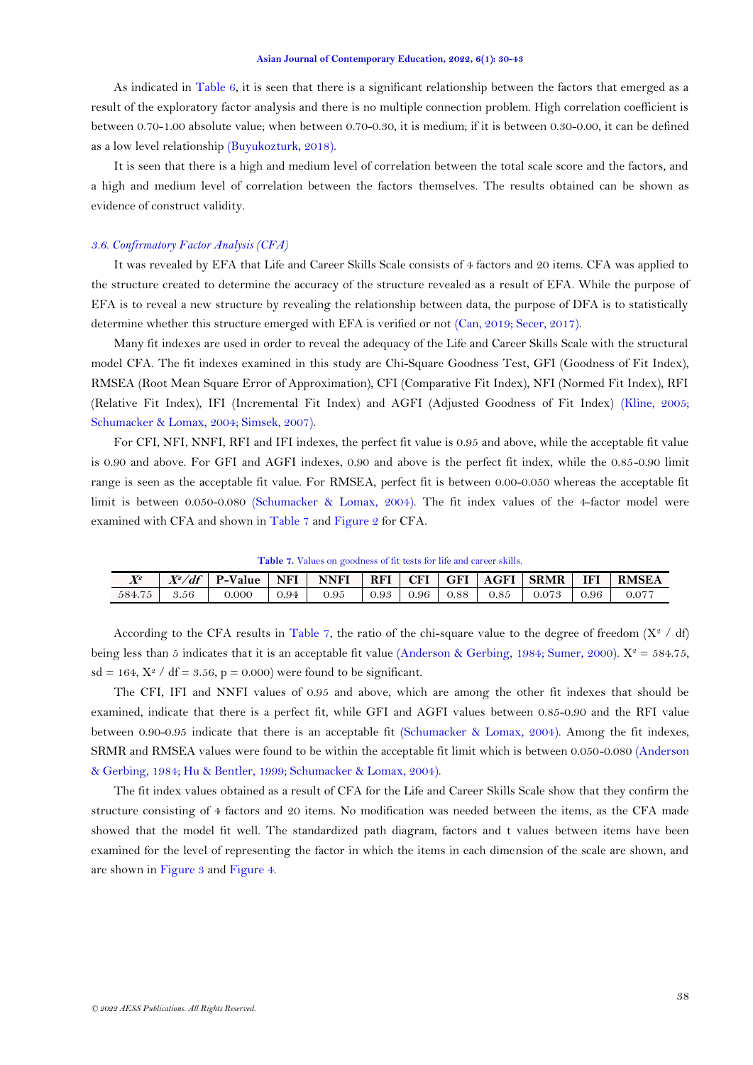As indicated in [Table 6,](#page-7-2) it is seen that there is a significant relationship between the factors that emerged as a result of the exploratory factor analysis and there is no multiple connection problem. High correlation coefficient is between 0.70-1.00 absolute value; when between 0.70-0.30, it is medium; if it is between 0.30-0.00, it can be defined as a low level relationship [\(Buyukozturk, 2018\)](#page-12-14).

It is seen that there is a high and medium level of correlation between the total scale score and the factors, and a high and medium level of correlation between the factors themselves. The results obtained can be shown as evidence of construct validity.

## *3.6. Confirmatory Factor Analysis (CFA)*

It was revealed by EFA that Life and Career Skills Scale consists of 4 factors and 20 items. CFA was applied to the structure created to determine the accuracy of the structure revealed as a result of EFA. While the purpose of EFA is to reveal a new structure by revealing the relationship between data, the purpose of DFA is to statistically determine whether this structure emerged with EFA is verified or not [\(Can, 2019;](#page-12-18) [Secer, 2017\)](#page-13-6).

Many fit indexes are used in order to reveal the adequacy of the Life and Career Skills Scale with the structural model CFA. The fit indexes examined in this study are Chi-Square Goodness Test, GFI (Goodness of Fit Index), RMSEA (Root Mean Square Error of Approximation), CFI (Comparative Fit Index), NFI (Normed Fit Index), RFI (Relative Fit Index), IFI (Incremental Fit Index) and AGFI (Adjusted Goodness of Fit Index) [\(Kline, 2005;](#page-12-19) [Schumacker & Lomax, 2004;](#page-13-9) [Simsek, 2007\)](#page-13-10).

For CFI, NFI, NNFI, RFI and IFI indexes, the perfect fit value is 0.95 and above, while the acceptable fit value is 0.90 and above. For GFI and AGFI indexes, 0.90 and above is the perfect fit index, while the 0.85-0.90 limit range is seen as the acceptable fit value. For RMSEA, perfect fit is between 0.00-0.050 whereas the acceptable fit limit is between 0.050-0.080 [\(Schumacker & Lomax, 2004\)](#page-13-9). The fit index values of the 4-factor model were examined with CFA and shown in [Table 7](#page-8-0) and [Figure 2](#page-5-0) for CFA.

**Table 7.** Values on goodness of fit tests for life and career skills.

<span id="page-8-0"></span>

| $X^2/df$   P-Value<br><b>SRMR</b><br>$\mathbf{V}^{\scriptscriptstyle{2}}$<br>NFI<br>RFI<br><b>RMSEA</b><br><b>CFI</b><br><b>AGFI</b><br>IFI<br><b>NNFI</b><br>  GFI<br>∡<br>0.95<br>584.75<br>3.56<br>0.96<br>0.85<br>9.000<br>0.93<br>0.94<br>0.073<br>0.96<br>0.88<br>0.077 |  |  |  |  |  |  |
|-------------------------------------------------------------------------------------------------------------------------------------------------------------------------------------------------------------------------------------------------------------------------------|--|--|--|--|--|--|
|                                                                                                                                                                                                                                                                               |  |  |  |  |  |  |
|                                                                                                                                                                                                                                                                               |  |  |  |  |  |  |

According to the CFA results in [Table 7,](#page-8-0) the ratio of the chi-square value to the degree of freedom  $(X^2 / df)$ being less than 5 indicates that it is an acceptable fit value [\(Anderson & Gerbing, 1984;](#page-11-3) [Sumer, 2000\)](#page-13-11).  $X^2 = 584.75$ ,  $sd = 164$ ,  $X^2$  /  $df = 3.56$ ,  $p = 0.000$ ) were found to be significant.

The CFI, IFI and NNFI values of 0.95 and above, which are among the other fit indexes that should be examined, indicate that there is a perfect fit, while GFI and AGFI values between 0.85-0.90 and the RFI value between 0.90-0.95 indicate that there is an acceptable fit [\(Schumacker & Lomax, 2004\)](#page-13-9). Among the fit indexes, SRMR and RMSEA values were found to be within the acceptable fit limit which is between 0.050-0.080 [\(Anderson](#page-11-3)  [& Gerbing, 1984;](#page-11-3) [Hu & Bentler, 1999;](#page-12-20) [Schumacker & Lomax, 2004\)](#page-13-9).

The fit index values obtained as a result of CFA for the Life and Career Skills Scale show that they confirm the structure consisting of 4 factors and 20 items. No modification was needed between the items, as the CFA made showed that the model fit well. The standardized path diagram, factors and t values between items have been examined for the level of representing the factor in which the items in each dimension of the scale are shown, and are shown in Figure 3 and Figure 4.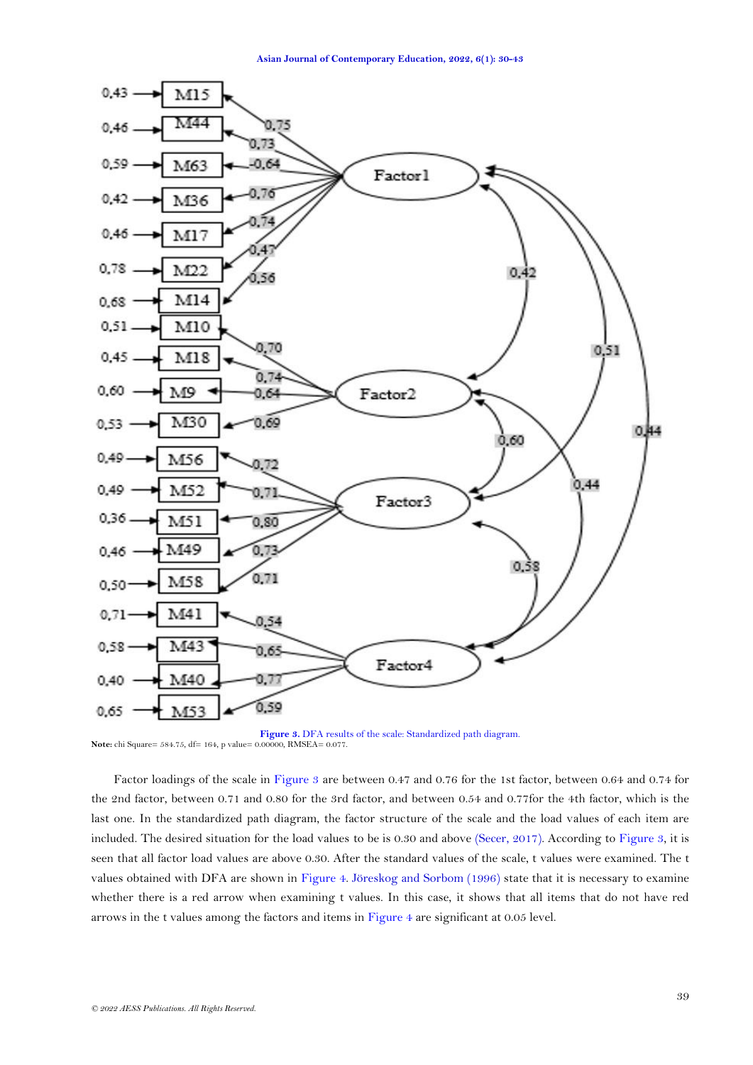

**Figure 3.** DFA results of the scale: Standardized path diagram. **Note:** chi Square= 584.75, df= 164, p value= 0.00000, RMSEA= 0.077.

Factor loadings of the scale in Figure 3 are between 0.47 and 0.76 for the 1st factor, between 0.64 and 0.74 for the 2nd factor, between 0.71 and 0.80 for the 3rd factor, and between 0.54 and 0.77for the 4th factor, which is the last one. In the standardized path diagram, the factor structure of the scale and the load values of each item are included. The desired situation for the load values to be is 0.30 and above [\(Secer, 2017\)](#page-13-6). According to Figure 3, it is seen that all factor load values are above 0.30. After the standard values of the scale, t values were examined. The t values obtained with DFA are shown in Figure 4. [Jöreskog and Sorbom \(1996\)](#page-12-21) state that it is necessary to examine whether there is a red arrow when examining t values. In this case, it shows that all items that do not have red arrows in the t values among the factors and items in Figure 4 are significant at 0.05 level.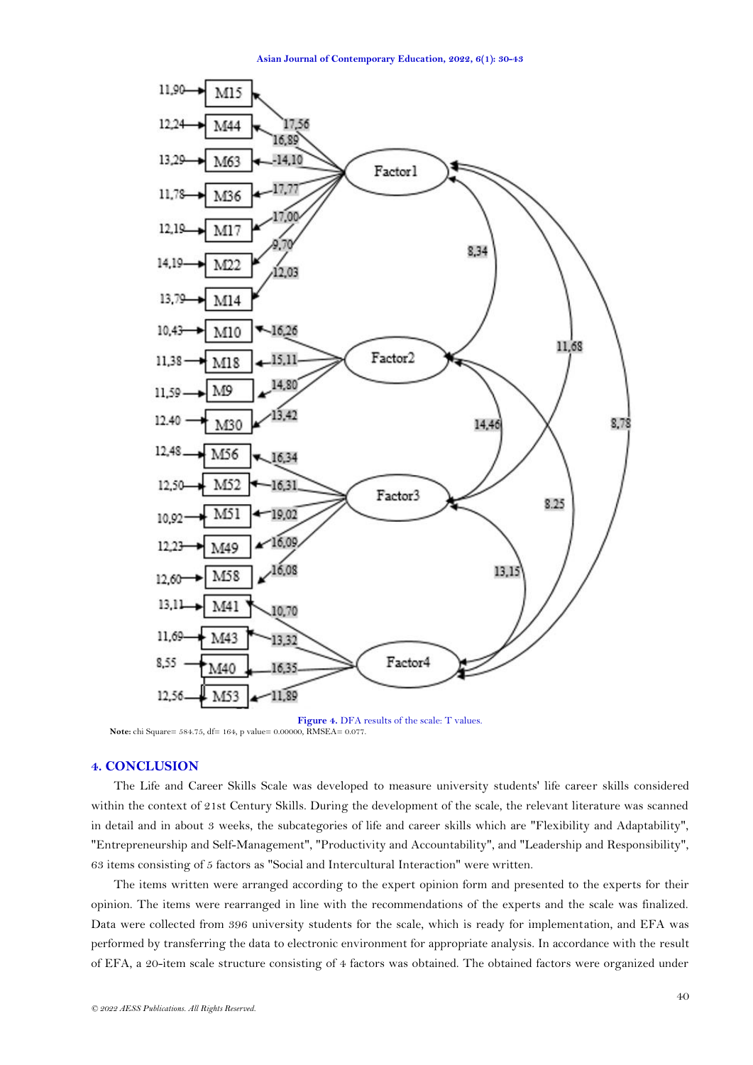

**Figure 4.** DFA results of the scale: T values.  **Note:** chi Square= 584.75, df= 164, p value= 0.00000, RMSEA= 0.077.

# **4. CONCLUSION**

The Life and Career Skills Scale was developed to measure university students' life career skills considered within the context of 21st Century Skills. During the development of the scale, the relevant literature was scanned in detail and in about 3 weeks, the subcategories of life and career skills which are "Flexibility and Adaptability", "Entrepreneurship and Self-Management", "Productivity and Accountability", and "Leadership and Responsibility", 63 items consisting of 5 factors as "Social and Intercultural Interaction" were written.

The items written were arranged according to the expert opinion form and presented to the experts for their opinion. The items were rearranged in line with the recommendations of the experts and the scale was finalized. Data were collected from 396 university students for the scale, which is ready for implementation, and EFA was performed by transferring the data to electronic environment for appropriate analysis. In accordance with the result of EFA, a 20-item scale structure consisting of 4 factors was obtained. The obtained factors were organized under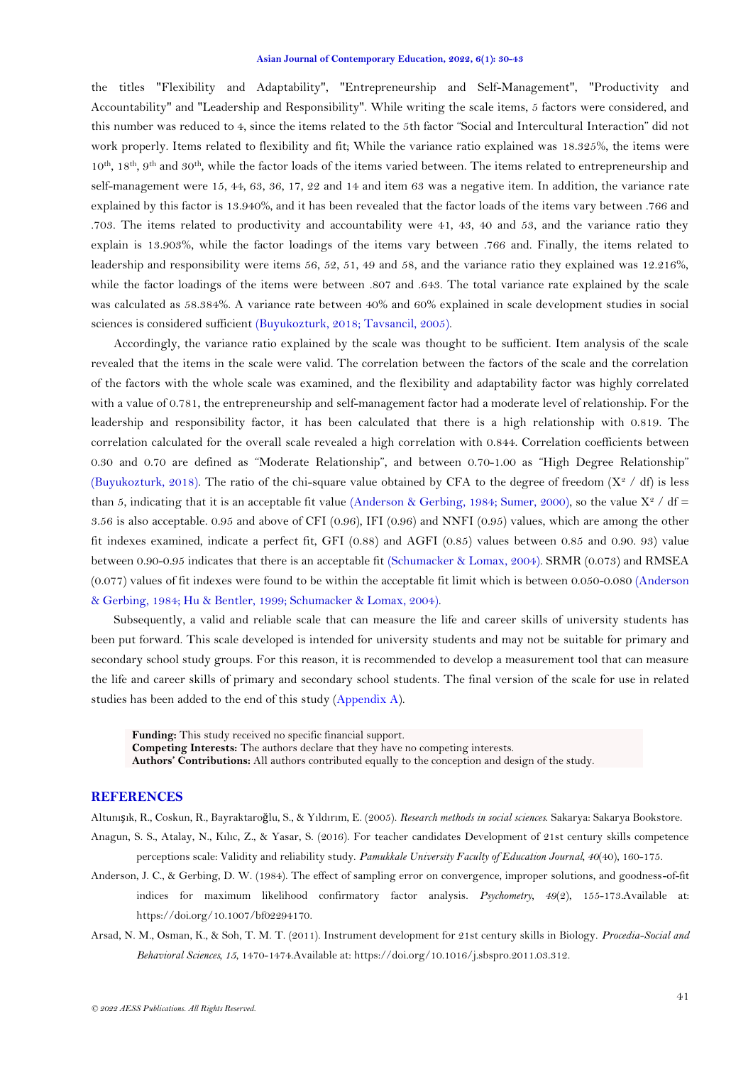the titles "Flexibility and Adaptability", "Entrepreneurship and Self-Management", "Productivity and Accountability" and "Leadership and Responsibility". While writing the scale items, 5 factors were considered, and this number was reduced to 4, since the items related to the 5th factor "Social and Intercultural Interaction" did not work properly. Items related to flexibility and fit; While the variance ratio explained was 18.325%, the items were 10th, 18th, 9th and 30th, while the factor loads of the items varied between. The items related to entrepreneurship and self-management were 15, 44, 63, 36, 17, 22 and 14 and item 63 was a negative item. In addition, the variance rate explained by this factor is 13.940%, and it has been revealed that the factor loads of the items vary between .766 and .703. The items related to productivity and accountability were 41, 43, 40 and 53, and the variance ratio they explain is 13.903%, while the factor loadings of the items vary between .766 and. Finally, the items related to leadership and responsibility were items 56, 52, 51, 49 and 58, and the variance ratio they explained was 12.216%, while the factor loadings of the items were between .807 and .643. The total variance rate explained by the scale was calculated as 58.384%. A variance rate between 40% and 60% explained in scale development studies in social sciences is considered sufficient [\(Buyukozturk, 2018;](#page-12-14) [Tavsancil, 2005\)](#page-13-8).

Accordingly, the variance ratio explained by the scale was thought to be sufficient. Item analysis of the scale revealed that the items in the scale were valid. The correlation between the factors of the scale and the correlation of the factors with the whole scale was examined, and the flexibility and adaptability factor was highly correlated with a value of 0.781, the entrepreneurship and self-management factor had a moderate level of relationship. For the leadership and responsibility factor, it has been calculated that there is a high relationship with 0.819. The correlation calculated for the overall scale revealed a high correlation with 0.844. Correlation coefficients between 0.30 and 0.70 are defined as "Moderate Relationship", and between 0.70-1.00 as "High Degree Relationship" [\(Buyukozturk, 2018\)](#page-12-14). The ratio of the chi-square value obtained by CFA to the degree of freedom  $(X^2 / df)$  is less than 5, indicating that it is an acceptable fit value [\(Anderson & Gerbing, 1984;](#page-11-3) [Sumer, 2000\)](#page-13-11), so the value  $X^2$  / df = 3.56 is also acceptable. 0.95 and above of CFI (0.96), IFI (0.96) and NNFI (0.95) values, which are among the other fit indexes examined, indicate a perfect fit, GFI (0.88) and AGFI (0.85) values between 0.85 and 0.90. 93) value between 0.90-0.95 indicates that there is an acceptable fit [\(Schumacker & Lomax, 2004\)](#page-13-9). SRMR (0.073) and RMSEA (0.077) values of fit indexes were found to be within the acceptable fit limit which is between 0.050-0.080 [\(Anderson](#page-11-3)  [& Gerbing, 1984;](#page-11-3) [Hu & Bentler, 1999;](#page-12-20) [Schumacker & Lomax, 2004\)](#page-13-9).

Subsequently, a valid and reliable scale that can measure the life and career skills of university students has been put forward. This scale developed is intended for university students and may not be suitable for primary and secondary school study groups. For this reason, it is recommended to develop a measurement tool that can measure the life and career skills of primary and secondary school students. The final version of the scale for use in related studies has been added to the end of this study [\(Appendix](#page-13-12) A).

**Funding:** This study received no specific financial support. **Competing Interests:** The authors declare that they have no competing interests. **Authors' Contributions:** All authors contributed equally to the conception and design of the study.

# **REFERENCES**

<span id="page-11-2"></span><span id="page-11-1"></span>Altunışık, R., Coskun, R., Bayraktaroğlu, S., & Yıldırım, E. (2005). *Research methods in social sciences*. Sakarya: Sakarya Bookstore. Anagun, S. S., Atalay, N., Kılıc, Z., & Yasar, S. (2016). For teacher candidates Development of 21st century skills competence

- perceptions scale: Validity and reliability study. *Pamukkale University Faculty of Education Journal, 40*(40), 160-175.
- <span id="page-11-3"></span>Anderson, J. C., & Gerbing, D. W. (1984). The effect of sampling error on convergence, improper solutions, and goodness-of-fit indices for maximum likelihood confirmatory factor analysis. *Psychometry, 49*(2), 155-173.Available at: https://doi.org/10.1007/bf02294170.
- <span id="page-11-0"></span>Arsad, N. M., Osman, K., & Soh, T. M. T. (2011). Instrument development for 21st century skills in Biology. *Procedia-Social and Behavioral Sciences, 15*, 1470-1474.Available at: https://doi.org/10.1016/j.sbspro.2011.03.312.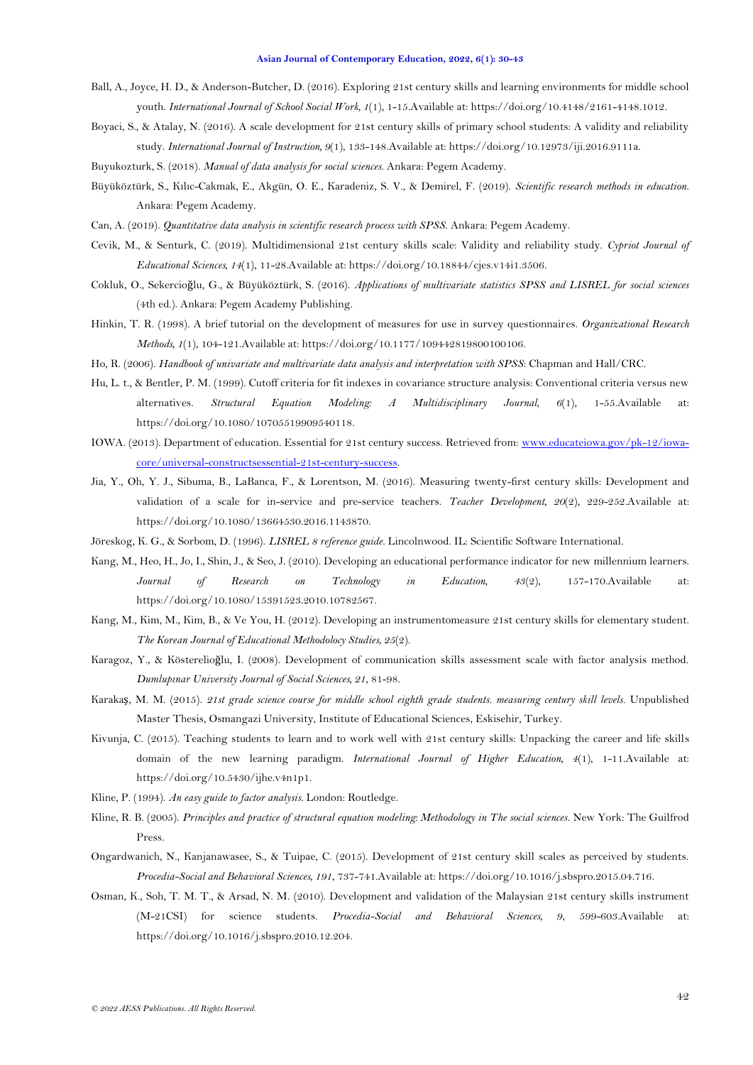- <span id="page-12-3"></span>Ball, A., Joyce, H. D., & Anderson-Butcher, D. (2016). Exploring 21st century skills and learning environments for middle school youth. *International Journal of School Social Work, 1*(1), 1-15.Available at: https://doi.org/10.4148/2161-4148.1012.
- <span id="page-12-2"></span>Boyaci, S., & Atalay, N. (2016). A scale development for 21st century skills of primary school students: A validity and reliability study. *International Journal of Instruction, 9*(1), 133-148.Available at: https://doi.org/10.12973/iji.2016.9111a.
- <span id="page-12-14"></span>Buyukozturk, S. (2018). *Manual of data analysis for social sciences*. Ankara: Pegem Academy.
- <span id="page-12-11"></span>Büyüköztürk, S., Kılıc-Cakmak, E., Akgün, O. E., Karadeniz, S. V., & Demirel, F. (2019). *Scientific research methods in education*. Ankara: Pegem Academy.
- <span id="page-12-18"></span>Can, A. (2019). *Quantitative data analysis in scientific research process with SPSS*. Ankara: Pegem Academy.
- <span id="page-12-9"></span>Cevik, M., & Senturk, C. (2019). Multidimensional 21st century skills scale: Validity and reliability study. *Cypriot Journal of Educational Sciences, 14*(1), 11-28.Available at: https://doi.org/10.18844/cjes.v14i1.3506.
- <span id="page-12-17"></span>Cokluk, O., Sekercioğlu, G., & Büyüköztürk, S. (2016). *Applications of multivariate statistics SPSS and LISREL for social sciences* (4th ed.). Ankara: Pegem Academy Publishing.
- <span id="page-12-16"></span>Hinkin, T. R. (1998). A brief tutorial on the development of measures for use in survey questionnaires. *Organizational Research Methods, 1*(1), 104-121.Available at: https://doi.org/10.1177/109442819800100106.
- <span id="page-12-13"></span>Ho, R. (2006). *Handbook of univariate and multivariate data analysis and interpretation with SPSS*: Chapman and Hall/CRC.
- <span id="page-12-20"></span>Hu, L. t., & Bentler, P. M. (1999). Cutoff criteria for fit indexes in covariance structure analysis: Conventional criteria versus new alternatives. *Structural Equation Modeling: A Multidisciplinary Journal, 6*(1), 1-55.Available at: https://doi.org/10.1080/10705519909540118.
- <span id="page-12-0"></span>IOWA. (2013). Department of education. Essential for 21st century success. Retrieved from[: www.educateiowa.gov/pk-12/iowa](http://www.educateiowa.gov/pk-12/iowa-core/universal-constructsessential-21st-century-success)[core/universal-constructsessential-21st-century-success.](http://www.educateiowa.gov/pk-12/iowa-core/universal-constructsessential-21st-century-success)
- <span id="page-12-10"></span>Jia, Y., Oh, Y. J., Sibuma, B., LaBanca, F., & Lorentson, M. (2016). Measuring twenty-first century skills: Development and validation of a scale for in-service and pre-service teachers. *Teacher Development, 20*(2), 229-252.Available at: https://doi.org/10.1080/13664530.2016.1143870.
- <span id="page-12-21"></span>Jöreskog, K. G., & Sorbom, D. (1996). *LISREL 8 reference guide*. Lincolnwood. IL: Scientific Software International.
- <span id="page-12-7"></span>Kang, M., Heo, H., Jo, I., Shin, J., & Seo, J. (2010). Developing an educational performance indicator for new millennium learners. *Journal of Research on Technology in Education, 43*(2), 157-170.Available at: https://doi.org/10.1080/15391523.2010.10782567.
- <span id="page-12-4"></span>Kang, M., Kim, M., Kim, B., & Ve You, H. (2012). Developing an instrumentomeasure 21st century skills for elementary student. *The Korean Journal of Educational Methodolocy Studies, 25*(2).
- <span id="page-12-15"></span>Karagoz, Y., & Kösterelioğlu, I. (2008). Development of communication skills assessment scale with factor analysis method. *Dumlupınar University Journal of Social Sciences, 21*, 81-98.
- <span id="page-12-5"></span>Karakaş, M. M. (2015). *21st grade science course for middle school eighth grade students. measuring century skill levels.* Unpublished Master Thesis, Osmangazi University, Institute of Educational Sciences, Eskisehir, Turkey.
- <span id="page-12-1"></span>Kivunja, C. (2015). Teaching students to learn and to work well with 21st century skills: Unpacking the career and life skills domain of the new learning paradigm. *International Journal of Higher Education, 4*(1), 1-11.Available at: https://doi.org/10.5430/ijhe.v4n1p1.
- <span id="page-12-12"></span>Kline, P. (1994). *An easy guide to factor analysis*. London: Routledge.
- <span id="page-12-19"></span>Kline, R. B. (2005). *Principles and practice of structural equation modeling: Methodology in The social sciences*. New York: The Guilfrod Press.
- <span id="page-12-6"></span>Ongardwanich, N., Kanjanawasee, S., & Tuipae, C. (2015). Development of 21st century skill scales as perceived by students. *Procedia-Social and Behavioral Sciences, 191*, 737-741.Available at: https://doi.org/10.1016/j.sbspro.2015.04.716.
- <span id="page-12-8"></span>Osman, K., Soh, T. M. T., & Arsad, N. M. (2010). Development and validation of the Malaysian 21st century skills instrument (M-21CSI) for science students. *Procedia-Social and Behavioral Sciences, 9*, 599-603.Available at: https://doi.org/10.1016/j.sbspro.2010.12.204.